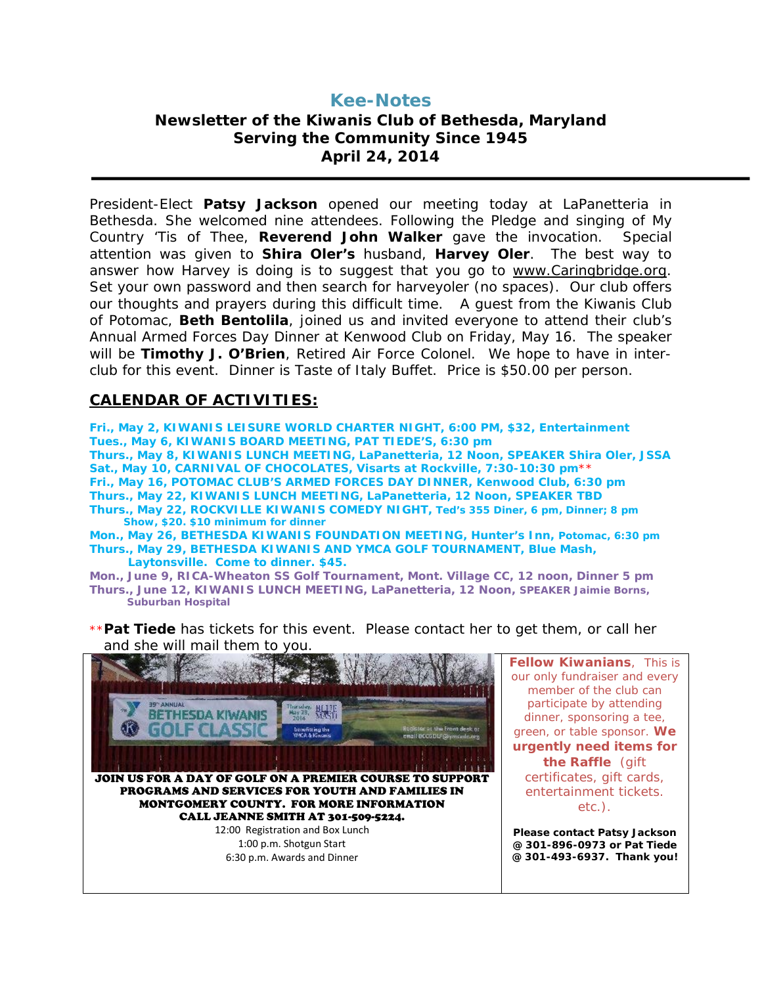# **Kee-Notes Newsletter of the Kiwanis Club of Bethesda, Maryland Serving the Community Since 1945 April 24, 2014**

President-Elect **Patsy Jackson** opened our meeting today at LaPanetteria in Bethesda. She welcomed nine attendees. Following the Pledge and singing of My Country 'Tis of Thee, **Reverend John Walker** gave the invocation. Special attention was given to **Shira Oler's** husband, **Harvey Oler**. The best way to answer how Harvey is doing is to suggest that you go to [www.Caringbridge.org.](http://www.caringbridge.org/) Set your own password and then search for harveyoler (no spaces). Our club offers our thoughts and prayers during this difficult time. A guest from the Kiwanis Club of Potomac, **Beth Bentolila**, joined us and invited everyone to attend their club's Annual Armed Forces Day Dinner at Kenwood Club on Friday, May 16. The speaker will be **Timothy J. O'Brien**, Retired Air Force Colonel. We hope to have in interclub for this event. Dinner is Taste of Italy Buffet. Price is \$50.00 per person.

## **CALENDAR OF ACTIVITIES:**

**Fri., May 2, KIWANIS LEISURE WORLD CHARTER NIGHT, 6:00 PM, \$32, Entertainment Tues., May 6, KIWANIS BOARD MEETING, PAT TIEDE'S, 6:30 pm Thurs., May 8, KIWANIS LUNCH MEETING, LaPanetteria, 12 Noon, SPEAKER Shira Oler, JSSA Sat., May 10, CARNIVAL OF CHOCOLATES, Visarts at Rockville, 7:30-10:30 pm**\*\* **Fri., May 16, POTOMAC CLUB'S ARMED FORCES DAY DINNER, Kenwood Club, 6:30 pm Thurs., May 22, KIWANIS LUNCH MEETING, LaPanetteria, 12 Noon, SPEAKER TBD Thurs., May 22, ROCKVILLE KIWANIS COMEDY NIGHT, Ted's 355 Diner, 6 pm, Dinner; 8 pm Show, \$20. \$10 minimum for dinner Mon., May 26, BETHESDA KIWANIS FOUNDATION MEETING, Hunter's Inn, Potomac, 6:30 pm Thurs., May 29, BETHESDA KIWANIS AND YMCA GOLF TOURNAMENT, Blue Mash, Laytonsville. Come to dinner. \$45.**

**Mon., June 9, RICA-Wheaton SS Golf Tournament, Mont. Village CC, 12 noon, Dinner 5 pm Thurs., June 12, KIWANIS LUNCH MEETING, LaPanetteria, 12 Noon, SPEAKER Jaimie Borns, Suburban Hospital**

\*\***Pat Tiede** has tickets for this event. Please contact her to get them, or call her and she will mail them to you.



**Fellow Kiwanians**, This is our only fundraiser and every member of the club can participate by attending dinner, sponsoring a tee, green, or table sponsor. **We urgently need items for the Raffle** (gift certificates, gift cards, entertainment tickets. etc.).

**Please contact Patsy Jackson @ 301-896-0973 or Pat Tiede @ 301-493-6937. Thank you!**